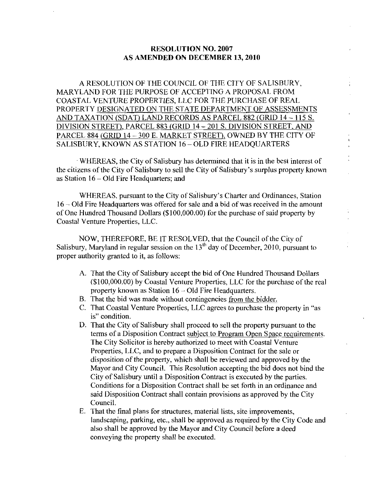## RESOLUTION NO. 2007 AS AMENDED ON DECEMBER 13, 2010

A RESOLUTION OF THE COUNCIL OF THE CITY OF SALTSBURY MARYLAND FOR THE PURPOSE OF ACCEPTING A PROPOSAL FROM COASTAL VENTURE PROPERTIES LLC FOR THE PURCHASE OF REAL PROPERTY DESIGNATED ON THE STATE DEPARTMENT OF ASSESSMENTS AND TAXATION (SDAT) LAND RECORDS AS PARCEL 882 (GRID 14 ~ 115 S. DIVISION STREET), PARCEL 883 (GRID 14 - 201 S. DIVISION STREET, AND PARCEL 884 (GRID 14 - 300 E. MARKET STREET), OWNED BY THE CITY OF SALISBURY, KNOWN AS STATION 16 - OLD FIRE HEADQUARTERS<br>WHEREAS, the City of Salisbury h PARCEL 884 (GRID 14 - 300 E. MARKET STREET), OWNED BY THE CITY OF SALISBURY, KNOWN AS STATION 16 - OLD FIRE HEADQUARTERS

WHEREAS, the City of Salisbury has determined that it is in the best interest of the citizens of the City of Salisbury to sell the City of Salisbury's surplus property known as Station  $16 - Old$  Fire Headquarters; and WHEREAS, the City of Salisbury has determined that it is in the best interest of<br>zens of the City of Salisbury to sell the City of Salisbury's surplus property know<br>on  $16 - Old$  Fire Headquarters; and<br>WHEREAS, pursuant to th

16 – Old Fire Headquarters was offered for sale and a bid of was received in the amount WHEREAS, pursuant to the City of Salisbury's Charter and Ordinances, Static 16 – Old Fire Headquarters was offered for sale and a bid of was received in the amous of One Hundred Thousand Dollars (\$100,000.00) for the purch of One Hundred Thousand Dollars (\$100,000.00) for the purchase of said property by Coastal Venture Properties, LLC.

NOW, THEREFORE, BE IT RESOLVED, that the Council of the City of Salisbury, Maryland in regular session on the  $13<sup>th</sup>$  day of December, 2010, pursuant to proper authority granted to it, as follows:

- A. That the City of Salisbury accept the bid of One Hundred Thousand Dollars (\$100,000.00) by Coastal Venture Properties, LLC for the purchase of the real property known as Station  $16 - Old$  Fire Headquarters.
- B. That the bid was made without contingencies from the bidder.
- C. That Coastal Venture Properties, LLC agrees to purchase the property in "as is" condition.
- D. That the City of Salisbury shall proceed to sell the property pursuant to the terms of a Disposition Contract subject to Program Open Space requirements. The City Solicitor is hereby authorized to meet with Coastal Venture Properties, LLC, and to prepare a Disposition Contract for the sale or disposition of the property, which shall be reviewed and approved by the Mayor and City Council. This Resolution accepting the bid does not bind the City of Salisbury until a Disposition Contract is executed by the parties. Conditions for a Disposition Contract shall be set forth in an ordinance and said Disposition Contract shall contain provisions as approved by the City Council
- E. That the final plans for structures, material lists, site improvements, landscaping, parking, etc., shall be approved as required by the City Code and also shall be approved by the Mayor and City Council before <sup>a</sup> deed conveying the property shall be executed